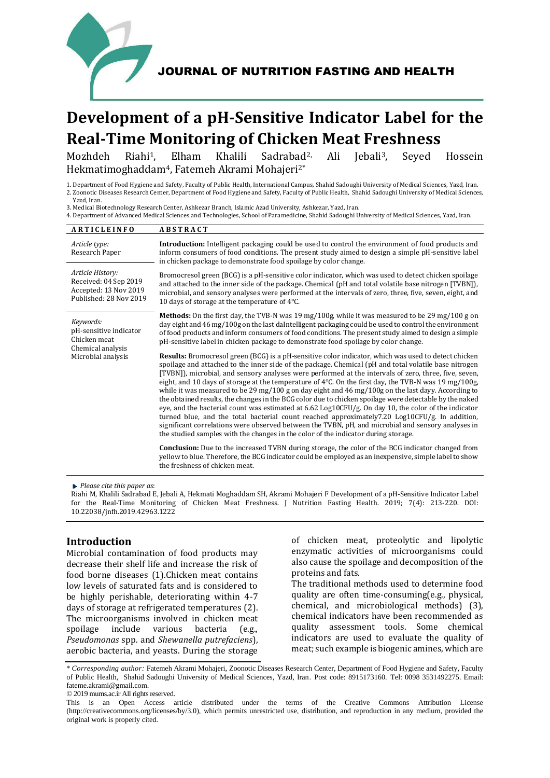

JOURNAL OF NUTRITION FASTING AND HEALTH

# **Development of a pH-Sensitive Indicator Label for the Real-Time Monitoring of Chicken Meat Freshness**

Mozhdeh Riahi1, Elham Khalili Sadrabad2, Ali Jebali3, Seyed Hossein Hekmatimoghaddam4, Fatemeh Akrami Mohajeri2\*

1. Department of Food Hygiene and Safety, Faculty of Public Health, International Campus, Shahid Sadoughi University of Medical Sciences, Yazd, Iran. 2. Zoonotic Diseases Research Center, Department of Food Hygiene and Safety, Faculty of Public Health, Shahid Sadoughi University of Medical Sciences, Yazd, Iran.

3. Medical Biotechnology Research Center, Ashkezar Branch, Islamic Azad University, Ashkezar, Yazd, Iran.

4. Department of Advanced Medical Sciences and Technologies, School of Paramedicine, Shahid Sadoughi University of Medical Sciences, Yazd, Iran.

| <b>ARTICLEINFO</b>                                                                             | <b>ABSTRACT</b>                                                                                                                                                                                                                                                                                                                                                                                                                                                                                                                                                                                                                                                                                                                                                                                                                                                                                                                                                                                                                                                                            |  |  |  |  |
|------------------------------------------------------------------------------------------------|--------------------------------------------------------------------------------------------------------------------------------------------------------------------------------------------------------------------------------------------------------------------------------------------------------------------------------------------------------------------------------------------------------------------------------------------------------------------------------------------------------------------------------------------------------------------------------------------------------------------------------------------------------------------------------------------------------------------------------------------------------------------------------------------------------------------------------------------------------------------------------------------------------------------------------------------------------------------------------------------------------------------------------------------------------------------------------------------|--|--|--|--|
| Article type:<br>Research Paper                                                                | <b>Introduction:</b> Intelligent packaging could be used to control the environment of food products and<br>inform consumers of food conditions. The present study aimed to design a simple pH-sensitive label<br>in chicken package to demonstrate food spoilage by color change.                                                                                                                                                                                                                                                                                                                                                                                                                                                                                                                                                                                                                                                                                                                                                                                                         |  |  |  |  |
| Article History:<br>Received: 04 Sep 2019<br>Accepted: 13 Nov 2019<br>Published: 28 Nov 2019   | Bromocresol green (BCG) is a pH-sensitive color indicator, which was used to detect chicken spoilage<br>and attached to the inner side of the package. Chemical (pH and total volatile base nitrogen [TVBN]),<br>microbial, and sensory analyses were performed at the intervals of zero, three, five, seven, eight, and<br>10 days of storage at the temperature of $4^{\circ}$ C.                                                                                                                                                                                                                                                                                                                                                                                                                                                                                                                                                                                                                                                                                                        |  |  |  |  |
| Keywords:<br>pH-sensitive indicator<br>Chicken meat<br>Chemical analysis<br>Microbial analysis | Methods: On the first day, the TVB-N was 19 mg/100g, while it was measured to be 29 mg/100 g on<br>day eight and 46 mg/100g on the last daIntelligent packaging could be used to control the environment<br>of food products and inform consumers of food conditions. The present study aimed to design a simple<br>pH-sensitive label in chicken package to demonstrate food spoilage by color change.                                                                                                                                                                                                                                                                                                                                                                                                                                                                                                                                                                                                                                                                                    |  |  |  |  |
|                                                                                                | <b>Results:</b> Bromocresol green (BCG) is a pH-sensitive color indicator, which was used to detect chicken<br>spoilage and attached to the inner side of the package. Chemical (pH and total volatile base nitrogen<br>[TVBN], microbial, and sensory analyses were performed at the intervals of zero, three, five, seven,<br>eight, and 10 days of storage at the temperature of $4^{\circ}$ C. On the first day, the TVB-N was 19 mg/100g,<br>while it was measured to be 29 mg/100 g on day eight and 46 mg/100g on the last dayy. According to<br>the obtained results, the changes in the BCG color due to chicken spoilage were detectable by the naked<br>eye, and the bacterial count was estimated at $6.62 \text{ Log } 10 \text{ CFU/g}$ . On day 10, the color of the indicator<br>turned blue, and the total bacterial count reached approximately7.20 Log10CFU/g. In addition,<br>significant correlations were observed between the TVBN, pH, and microbial and sensory analyses in<br>the studied samples with the changes in the color of the indicator during storage. |  |  |  |  |
|                                                                                                | <b>Conclusion:</b> Due to the increased TVBN during storage, the color of the BCG indicator changed from<br>yellow to blue. Therefore, the BCG indicator could be employed as an inexpensive, simple label to show<br>the freshness of chicken meat.                                                                                                                                                                                                                                                                                                                                                                                                                                                                                                                                                                                                                                                                                                                                                                                                                                       |  |  |  |  |

*Please cite this paper as*:

Riahi M, Khalili Sadrabad E, Jebali A, Hekmati Moghaddam SH, Akrami Mohajeri F Development of a pH-Sensitive Indicator Label for the Real-Time Monitoring of Chicken Meat Freshness. J Nutrition Fasting Health. 2019; 7(4): 213-220. DOI: 10.22038/jnfh.2019.42963.1222

# **Introduction**

Microbial contamination of food products may decrease their shelf life and increase the risk of food borne diseases [\(1\)](#page-6-0).Chicken meat contains low levels of saturated fats and is considered to be highly perishable, deteriorating within 4-7 days of storage at refrigerated temperatures [\(2\)](#page-6-1). The microorganisms involved in chicken meat spoilage include various bacteria (e.g., *Pseudomonas* spp. and *Shewanella putrefaciens*), aerobic bacteria, and yeasts. During the storage

of chicken meat, proteolytic and lipolytic enzymatic activities of microorganisms could also cause the spoilage and decomposition of the proteins and fats.

The traditional methods used to determine food quality are often time-consuming(e.g., physical, chemical, and microbiological methods) [\(3\)](#page-6-2), chemical indicators have been recommended as quality assessment tools. Some chemical indicators are used to evaluate the quality of meat; such example is biogenic amines, which are

\* *Corresponding author:* Fatemeh Akrami Mohajeri, Zoonotic Diseases Research Center, Department of Food Hygiene and Safety, Faculty of Public Health, Shahid Sadoughi University of Medical Sciences, Yazd, Iran. Post code: 8915173160. Tel: 0098 3531492275. Email: fateme.akrami@gmail.com

© 2019 mums.ac.ir All rights reserved.

This is an Open Access article distributed under the terms of the Creative Commons Attribution License (http://creativecommons.org/licenses/by/3.0), which permits unrestricted use, distribution, and reproduction in any medium, provided the original work is properly cited.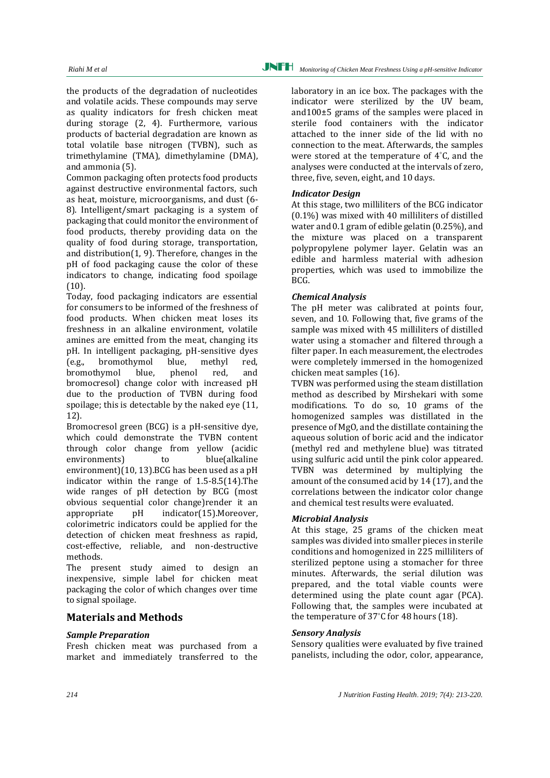the products of the degradation of nucleotides and volatile acids. These compounds may serve as quality indicators for fresh chicken meat during storage [\(2,](#page-6-1) [4\)](#page-6-3). Furthermore, various products of bacterial degradation are known as total volatile base nitrogen (TVBN), such as trimethylamine (TMA), dimethylamine (DMA), and ammonia [\(5\)](#page-6-4).

Common packaging often protects food products against destructive environmental factors, such as heat, moisture, microorganisms, and dust [\(6-](#page-6-5) [8\)](#page-6-5). Intelligent/smart packaging is a system of packaging that could monitor the environment of food products, thereby providing data on the quality of food during storage, transportation, and distribution[\(1,](#page-6-0) [9\)](#page-7-0). Therefore, changes in the pH of food packaging cause the color of these indicators to change, indicating food spoilage [\(10\)](#page-7-1).

Today, food packaging indicators are essential for consumers to be informed of the freshness of food products. When chicken meat loses its freshness in an alkaline environment, volatile amines are emitted from the meat, changing its pH. In intelligent packaging, pH-sensitive dyes (e.g., bromothymol blue, methyl red, bromothymol blue, phenol red, and bromocresol) change color with increased pH due to the production of TVBN during food spoilage; this is detectable by the naked eye [\(11,](#page-7-2)  [12\)](#page-7-3).

Bromocresol green (BCG) is a pH-sensitive dye, which could demonstrate the TVBN content through color change from yellow (acidic environments) to blue(alkaline environment)[\(10,](#page-7-1) [13\)](#page-7-4).BCG has been used as a pH indicator within the range of 1.5-8.5[\(14\)](#page-7-5).The wide ranges of pH detection by BCG (most obvious sequential color change)render it an appropriate pH indicator[\(15\)](#page-7-6).Moreover, colorimetric indicators could be applied for the detection of chicken meat freshness as rapid, cost-effective, reliable, and non-destructive methods.

The present study aimed to design an inexpensive, simple label for chicken meat packaging the color of which changes over time to signal spoilage.

# **Materials and Methods**

# *Sample Preparation*

Fresh chicken meat was purchased from a market and immediately transferred to the laboratory in an ice box. The packages with the indicator were sterilized by the UV beam, and100±5 grams of the samples were placed in sterile food containers with the indicator attached to the inner side of the lid with no connection to the meat. Afterwards, the samples were stored at the temperature of 4°C, and the analyses were conducted at the intervals of zero, three, five, seven, eight, and 10 days.

## *Indicator Design*

At this stage, two milliliters of the BCG indicator (0.1%) was mixed with 40 milliliters of distilled water and 0.1 gram of edible gelatin (0.25%), and the mixture was placed on a transparent polypropylene polymer layer. Gelatin was an edible and harmless material with adhesion properties, which was used to immobilize the BCG.

## *Chemical Analysis*

The pH meter was calibrated at points four, seven, and 10. Following that, five grams of the sample was mixed with 45 milliliters of distilled water using a stomacher and filtered through a filter paper. In each measurement, the electrodes were completely immersed in the homogenized chicken meat samples [\(16\)](#page-7-7).

TVBN was performed using the steam distillation method as described by Mirshekari with some modifications. To do so, 10 grams of the homogenized samples was distillated in the presence of MgO, and the distillate containing the aqueous solution of boric acid and the indicator (methyl red and methylene blue) was titrated using sulfuric acid until the pink color appeared. TVBN was determined by multiplying the amount of the consumed acid by 14 [\(17\)](#page-7-8), and the correlations between the indicator color change and chemical test results were evaluated.

## *Microbial Analysis*

At this stage, 25 grams of the chicken meat samples was divided into smaller pieces in sterile conditions and homogenized in 225 milliliters of sterilized peptone using a stomacher for three minutes. Afterwards, the serial dilution was prepared, and the total viable counts were determined using the plate count agar (PCA). Following that, the samples were incubated at the temperature of 37°C for 48 hours [\(18\)](#page-7-9).

# *Sensory Analysis*

Sensory qualities were evaluated by five trained panelists, including the odor, color, appearance,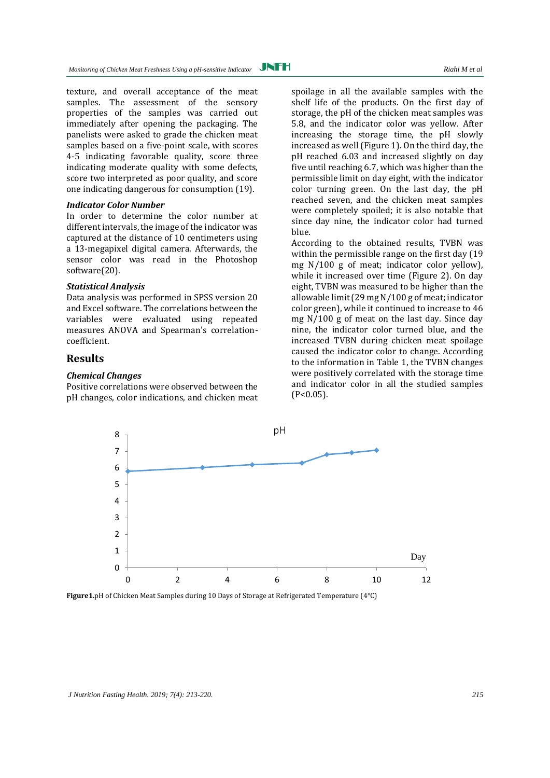texture, and overall acceptance of the meat samples. The assessment of the sensory properties of the samples was carried out immediately after opening the packaging. The panelists were asked to grade the chicken meat samples based on a five-point scale, with scores 4-5 indicating favorable quality, score three indicating moderate quality with some defects, score two interpreted as poor quality, and score one indicating dangerous for consumption [\(19\)](#page-7-10).

#### *Indicator Color Number*

In order to determine the color number at different intervals, the image of the indicator was captured at the distance of 10 centimeters using a 13-megapixel digital camera. Afterwards, the sensor color was read in the Photoshop software[\(20\)](#page-7-11).

# *Statistical Analysis*

Data analysis was performed in SPSS version 20 and Excel software. The correlations between the variables were evaluated using repeated measures ANOVA and Spearman's correlationcoefficient.

# **Results**

## *Chemical Changes*

Positive correlations were observed between the pH changes, color indications, and chicken meat spoilage in all the available samples with the shelf life of the products. On the first day of storage, the pH of the chicken meat samples was 5.8, and the indicator color was yellow. After increasing the storage time, the pH slowly increased as well (Figure 1). On the third day, the pH reached 6.03 and increased slightly on day five until reaching 6.7, which was higher than the permissible limit on day eight, with the indicator color turning green. On the last day, the pH reached seven, and the chicken meat samples were completely spoiled; it is also notable that since day nine, the indicator color had turned blue.

According to the obtained results, TVBN was within the permissible range on the first day (19 mg N/100 g of meat; indicator color yellow), while it increased over time (Figure 2). On day eight, TVBN was measured to be higher than the allowable limit (29 mg N/100 g of meat; indicator color green), while it continued to increase to 46 mg N/100 g of meat on the last day. Since day nine, the indicator color turned blue, and the increased TVBN during chicken meat spoilage caused the indicator color to change. According to the information in Table 1, the TVBN changes were positively correlated with the storage time and indicator color in all the studied samples  $(P<0.05)$ .



**Figure1.**pH of Chicken Meat Samples during 10 Days of Storage at Refrigerated Temperature (4°C)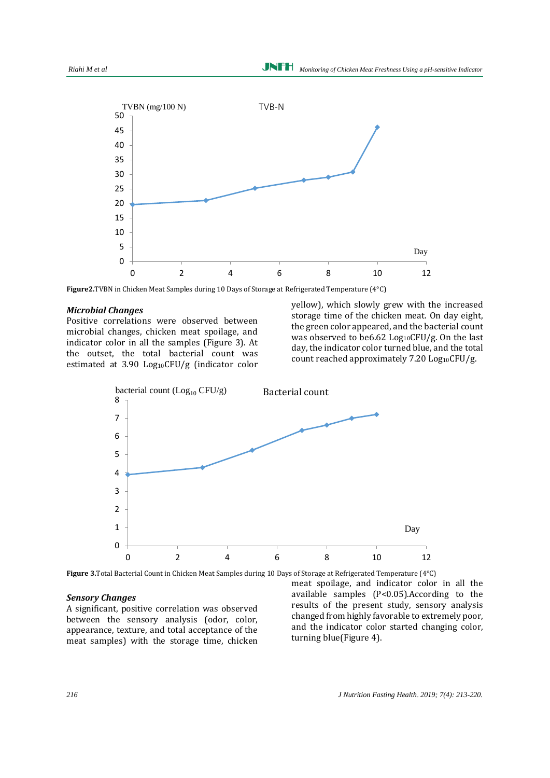

**Figure2.**TVBN in Chicken Meat Samples during 10 Days of Storage at Refrigerated Temperature (4°C)

#### *Microbial Changes*

Positive correlations were observed between microbial changes, chicken meat spoilage, and indicator color in all the samples (Figure 3). At the outset, the total bacterial count was estimated at 3.90 Log10CFU/g (indicator color

yellow), which slowly grew with the increased storage time of the chicken meat. On day eight, the green color appeared, and the bacterial count was observed to be6.62  $Log_{10}$ CFU/g. On the last day, the indicator color turned blue, and the total count reached approximately  $7.20$  Log<sub>10</sub>CFU/g.



**Figure 3.**Total Bacterial Count in Chicken Meat Samples during 10 Days of Storage at Refrigerated Temperature (4°C)

## *Sensory Changes*

A significant, positive correlation was observed between the sensory analysis (odor, color, appearance, texture, and total acceptance of the meat samples) with the storage time, chicken

meat spoilage, and indicator color in all the available samples (P<0.05).According to the results of the present study, sensory analysis changed from highly favorable to extremely poor, and the indicator color started changing color, turning blue(Figure 4).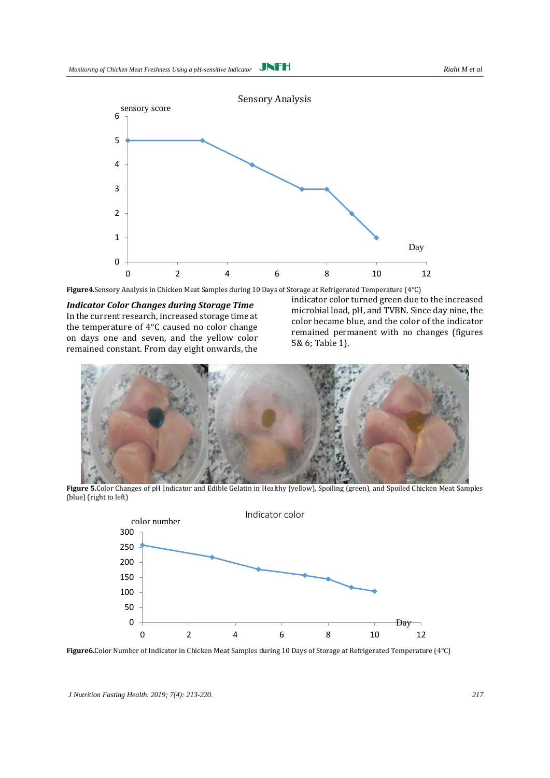

**Figure4.**Sensory Analysis in Chicken Meat Samples during 10 Days of Storage at Refrigerated Temperature (4°C)

*Indicator Color Changes during Storage Time* In the current research, increased storage time at the temperature of 4°C caused no color change on days one and seven, and the yellow color remained constant. From day eight onwards, the

indicator color turned green due to the increased microbial load, pH, and TVBN. Since day nine, the color became blue, and the color of the indicator remained permanent with no changes (figures 5& 6; Table 1).



**Figure 5.**Color Changes of pH Indicator and Edible Gelatin in Healthy (yellow), Spoiling (green), and Spoiled Chicken Meat Samples (blue) (right to left)



**Figure6.**Color Number of Indicator in Chicken Meat Samples during 10 Days of Storage at Refrigerated Temperature (4°C)

*J Nutrition Fasting Health. 2019; 7(4): 213-220. 217*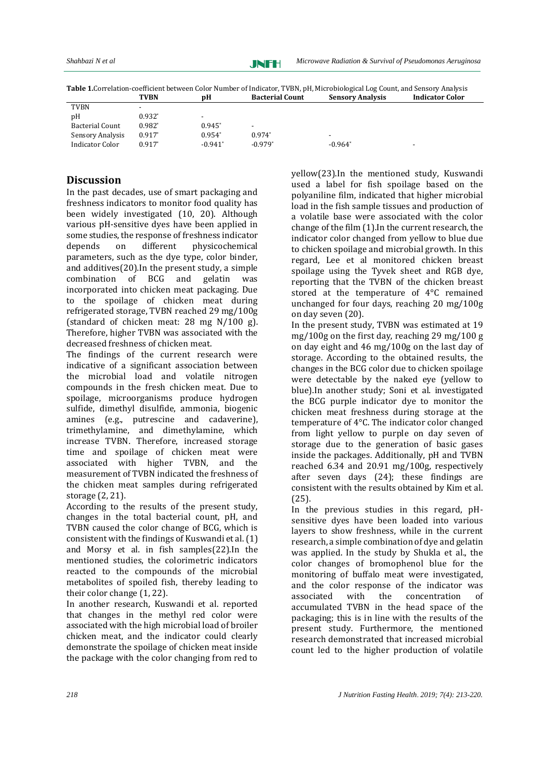JNFH

**Table 1.**Correlation-coefficient between Color Number of Indicator, TVBN, pH, Microbiological Log Count, and Sensory Analysis<br>**Racterial Count** Sensory Analysis<br>**Racterial Count Sensory Analysis** 

|                        | I V DIV                  | vu        | Dacierial Gount | эснэөн у ганагуэгэ       | munann goion |
|------------------------|--------------------------|-----------|-----------------|--------------------------|--------------|
| <b>TVBN</b>            | $\overline{\phantom{0}}$ |           |                 |                          |              |
| pH                     | $0.932*$                 | -         |                 |                          |              |
| <b>Bacterial Count</b> | $0.982^{*}$              | $0.945*$  | $\blacksquare$  |                          |              |
| Sensory Analysis       | $0.917*$                 | $0.954*$  | $0.974*$        | $\overline{\phantom{0}}$ |              |
| Indicator Color        | $0.917*$                 | $-0.941*$ | $-0.979*$       | $-0.964*$                | $\,$         |
|                        |                          |           |                 |                          |              |

# **Discussion**

In the past decades, use of smart packaging and freshness indicators to monitor food quality has been widely investigated [\(10,](#page-7-1) [20\)](#page-7-11). Although various pH-sensitive dyes have been applied in some studies, the response of freshness indicator depends on different physicochemical parameters, such as the dye type, color binder, and additives[\(20\)](#page-7-11).In the present study, a simple combination of BCG and gelatin was incorporated into chicken meat packaging. Due to the spoilage of chicken meat during refrigerated storage, TVBN reached 29 mg/100g (standard of chicken meat: 28 mg N/100 g). Therefore, higher TVBN was associated with the decreased freshness of chicken meat.

The findings of the current research were indicative of a significant association between the microbial load and volatile nitrogen compounds in the fresh chicken meat. Due to spoilage, microorganisms produce hydrogen sulfide, dimethyl disulfide, ammonia, biogenic amines (e.g., putrescine and cadaverine), trimethylamine, and dimethylamine, which increase TVBN. Therefore, increased storage time and spoilage of chicken meat were associated with higher TVBN, and the measurement of TVBN indicated the freshness of the chicken meat samples during refrigerated storage [\(2,](#page-6-1) [21\)](#page-7-12).

According to the results of the present study, changes in the total bacterial count, pH, and TVBN caused the color change of BCG, which is consistent with the findings of Kuswandi et al. [\(1\)](#page-6-0) and Morsy et al. in fish samples[\(22\)](#page-7-13).In the mentioned studies, the colorimetric indicators reacted to the compounds of the microbial metabolites of spoiled fish, thereby leading to their color change [\(1,](#page-6-0) [22\)](#page-7-13).

In another research, Kuswandi et al. reported that changes in the methyl red color were associated with the high microbial load of broiler chicken meat, and the indicator could clearly demonstrate the spoilage of chicken meat inside the package with the color changing from red to yellow[\(23\)](#page-7-14).In the mentioned study, Kuswandi used a label for fish spoilage based on the polyaniline film, indicated that higher microbial load in the fish sample tissues and production of a volatile base were associated with the color change of the film [\(1\)](#page-6-0).In the current research, the indicator color changed from yellow to blue due to chicken spoilage and microbial growth. In this regard, Lee et al monitored chicken breast spoilage using the Tyvek sheet and RGB dye, reporting that the TVBN of the chicken breast stored at the temperature of 4°C remained unchanged for four days, reaching 20 mg/100g on day seven [\(20\)](#page-7-11).

In the present study, TVBN was estimated at 19 mg/100g on the first day, reaching 29 mg/100 g on day eight and 46 mg/100g on the last day of storage. According to the obtained results, the changes in the BCG color due to chicken spoilage were detectable by the naked eye (yellow to blue).In another study; Soni et al. investigated the BCG purple indicator dye to monitor the chicken meat freshness during storage at the temperature of 4°C. The indicator color changed from light yellow to purple on day seven of storage due to the generation of basic gases inside the packages. Additionally, pH and TVBN reached 6.34 and 20.91 mg/100g, respectively after seven days [\(24\)](#page-7-15); these findings are consistent with the results obtained by Kim et al. [\(25\)](#page-7-16).

In the previous studies in this regard, pHsensitive dyes have been loaded into various layers to show freshness, while in the current research, a simple combination of dye and gelatin was applied. In the study by Shukla et al., the color changes of bromophenol blue for the monitoring of buffalo meat were investigated, and the color response of the indicator was associated with the concentration of accumulated TVBN in the head space of the packaging; this is in line with the results of the present study. Furthermore, the mentioned research demonstrated that increased microbial count led to the higher production of volatile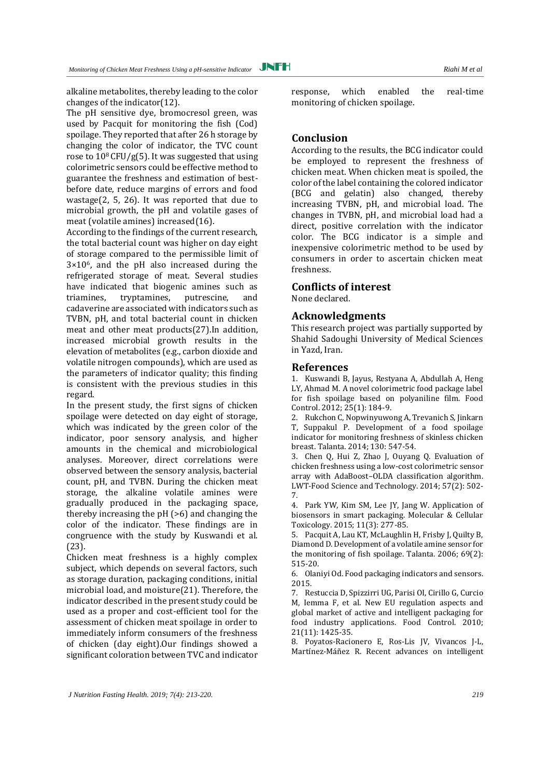alkaline metabolites, thereby leading to the color changes of the indicator[\(12\)](#page-7-3).

The pH sensitive dye, bromocresol green, was used by Pacquit for monitoring the fish (Cod) spoilage. They reported that after 26 h storage by changing the color of indicator, the TVC count rose to  $10^8$  CFU/g[\(5\)](#page-6-4). It was suggested that using colorimetric sensors could be effective method to guarantee the freshness and estimation of bestbefore date, reduce margins of errors and food wastage[\(2,](#page-6-1) [5,](#page-6-4) [26\)](#page-7-17). It was reported that due to microbial growth, the pH and volatile gases of meat (volatile amines) increased[\(16\)](#page-7-7).

According to the findings of the current research, the total bacterial count was higher on day eight of storage compared to the permissible limit of  $3\times10^6$ , and the pH also increased during the refrigerated storage of meat. Several studies have indicated that biogenic amines such as triamines, tryptamines, putrescine, and cadaverine are associated with indicators such as TVBN, pH, and total bacterial count in chicken meat and other meat products[\(27\)](#page-7-18).In addition, increased microbial growth results in the elevation of metabolites (e.g., carbon dioxide and volatile nitrogen compounds), which are used as the parameters of indicator quality; this finding is consistent with the previous studies in this regard.

In the present study, the first signs of chicken spoilage were detected on day eight of storage, which was indicated by the green color of the indicator, poor sensory analysis, and higher amounts in the chemical and microbiological analyses. Moreover, direct correlations were observed between the sensory analysis, bacterial count, pH, and TVBN. During the chicken meat storage, the alkaline volatile amines were gradually produced in the packaging space, thereby increasing the pH (>6) and changing the color of the indicator. These findings are in congruence with the study by Kuswandi et al. [\(23\)](#page-7-14).

Chicken meat freshness is a highly complex subject, which depends on several factors, such as storage duration, packaging conditions, initial microbial load, and moisture[\(21\)](#page-7-12). Therefore, the indicator described in the present study could be used as a proper and cost-efficient tool for the assessment of chicken meat spoilage in order to immediately inform consumers of the freshness of chicken (day eight).Our findings showed a significant coloration between TVC and indicator

response, which enabled the real-time monitoring of chicken spoilage.

# **Conclusion**

According to the results, the BCG indicator could be employed to represent the freshness of chicken meat. When chicken meat is spoiled, the color of the label containing the colored indicator (BCG and gelatin) also changed, thereby increasing TVBN, pH, and microbial load. The changes in TVBN, pH, and microbial load had a direct, positive correlation with the indicator color. The BCG indicator is a simple and inexpensive colorimetric method to be used by consumers in order to ascertain chicken meat freshness.

# **Conflicts of interest**

None declared.

## **Acknowledgments**

This research project was partially supported by Shahid Sadoughi University of Medical Sciences in Yazd, Iran.

## **References**

<span id="page-6-0"></span>1. Kuswandi B, Jayus, Restyana A, Abdullah A, Heng LY, Ahmad M. A novel colorimetric food package label for fish spoilage based on polyaniline film. Food Control. 2012; 25(1): 184-9.

<span id="page-6-1"></span>2. Rukchon C, Nopwinyuwong A, Trevanich S, Jinkarn T, Suppakul P. Development of a food spoilage indicator for monitoring freshness of skinless chicken breast. Talanta. 2014; 130: 547-54.

<span id="page-6-2"></span>3. Chen Q, Hui Z, Zhao J, Ouyang Q. Evaluation of chicken freshness using a low-cost colorimetric sensor array with AdaBoost–OLDA classification algorithm. LWT-Food Science and Technology. 2014; 57(2): 502- 7.

<span id="page-6-3"></span>4. Park YW, Kim SM, Lee JY, Jang W. Application of biosensors in smart packaging. Molecular & Cellular Toxicology. 2015; 11(3): 277-85.

<span id="page-6-4"></span>5. Pacquit A, Lau KT, McLaughlin H, Frisby J, Quilty B, Diamond D. Development of a volatile amine sensor for the monitoring of fish spoilage. Talanta. 2006; 69(2): 515-20.

<span id="page-6-5"></span>6. Olaniyi Od. Food packaging indicators and sensors. 2015.

7. Restuccia D, Spizzirri UG, Parisi OI, Cirillo G, Curcio M, Iemma F, et al. New EU regulation aspects and global market of active and intelligent packaging for food industry applications. Food Control. 2010; 21(11): 1425-35.

8. Poyatos-Racionero E, Ros-Lis JV, Vivancos J-L, Martínez-Máñez R. Recent advances on intelligent